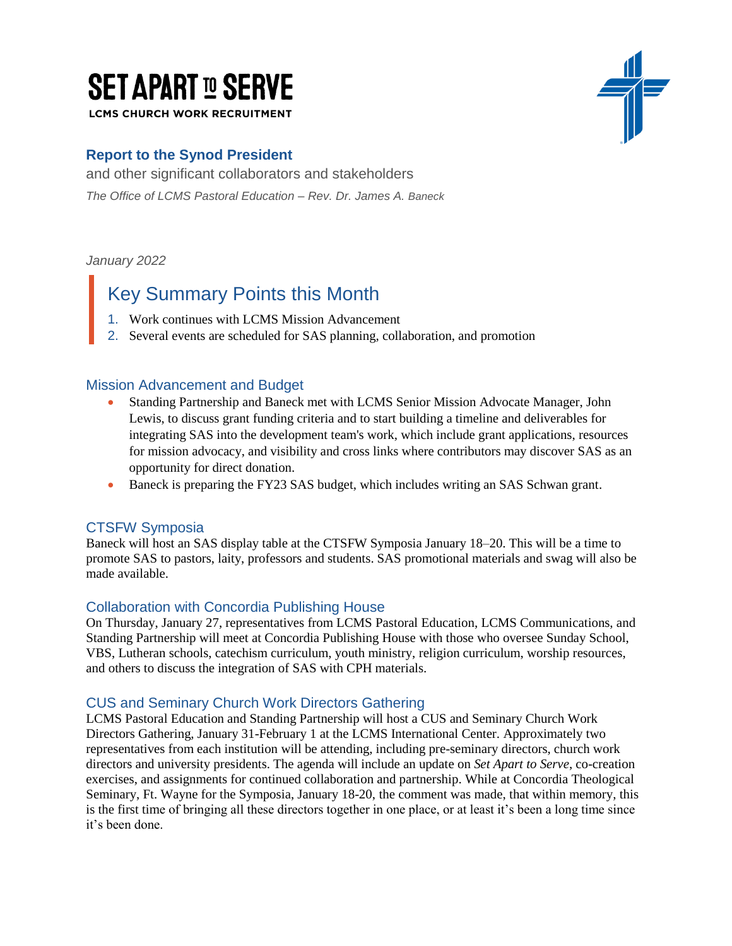# **SET APART ID SERVE**

**LCMS CHURCH WORK RECRUITMENT** 

### **Report to the Synod President**

and other significant collaborators and stakeholders *The Office of LCMS Pastoral Education – Rev. Dr. James A. Baneck*

*January 2022*

## Key Summary Points this Month

- 1. Work continues with LCMS Mission Advancement
- 2. Several events are scheduled for SAS planning, collaboration, and promotion

#### Mission Advancement and Budget

- Standing Partnership and Baneck met with LCMS Senior Mission Advocate Manager, John Lewis, to discuss grant funding criteria and to start building a timeline and deliverables for integrating SAS into the development team's work, which include grant applications, resources for mission advocacy, and visibility and cross links where contributors may discover SAS as an opportunity for direct donation.
- Baneck is preparing the FY23 SAS budget, which includes writing an SAS Schwan grant.

#### CTSFW Symposia

Baneck will host an SAS display table at the CTSFW Symposia January 18–20. This will be a time to promote SAS to pastors, laity, professors and students. SAS promotional materials and swag will also be made available.

#### Collaboration with Concordia Publishing House

On Thursday, January 27, representatives from LCMS Pastoral Education, LCMS Communications, and Standing Partnership will meet at Concordia Publishing House with those who oversee Sunday School, VBS, Lutheran schools, catechism curriculum, youth ministry, religion curriculum, worship resources, and others to discuss the integration of SAS with CPH materials.

#### CUS and Seminary Church Work Directors Gathering

LCMS Pastoral Education and Standing Partnership will host a CUS and Seminary Church Work Directors Gathering, January 31-February 1 at the LCMS International Center. Approximately two representatives from each institution will be attending, including pre-seminary directors, church work directors and university presidents. The agenda will include an update on *Set Apart to Serve*, co-creation exercises, and assignments for continued collaboration and partnership. While at Concordia Theological Seminary, Ft. Wayne for the Symposia, January 18-20, the comment was made, that within memory, this is the first time of bringing all these directors together in one place, or at least it's been a long time since it's been done.